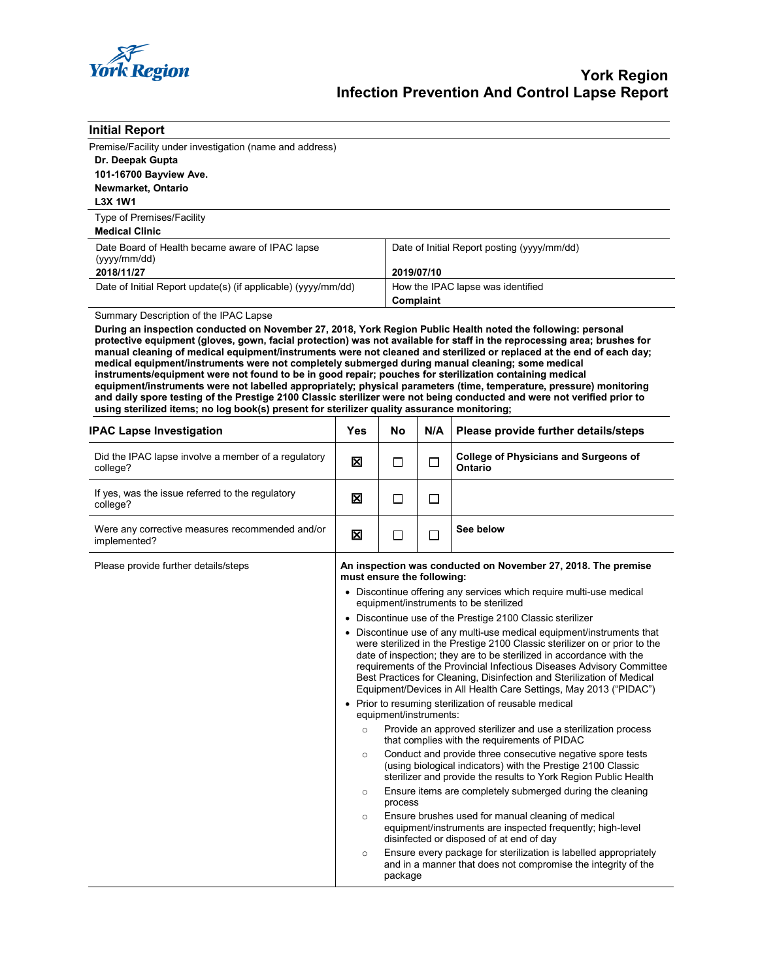

| <b>Initial Report</b>                                                                                                                                                                                                                                                                                                                                                                                                                                                                                                                                                                                                                                                                                                                                                                                            |                                                                                                                                                                                                                                                                                                                                                                                                                                                                                                                                                                                                                                   |                                                                                                                                                                                                                                                                       |                                                                                                                                                              |                                                                |  |  |  |  |
|------------------------------------------------------------------------------------------------------------------------------------------------------------------------------------------------------------------------------------------------------------------------------------------------------------------------------------------------------------------------------------------------------------------------------------------------------------------------------------------------------------------------------------------------------------------------------------------------------------------------------------------------------------------------------------------------------------------------------------------------------------------------------------------------------------------|-----------------------------------------------------------------------------------------------------------------------------------------------------------------------------------------------------------------------------------------------------------------------------------------------------------------------------------------------------------------------------------------------------------------------------------------------------------------------------------------------------------------------------------------------------------------------------------------------------------------------------------|-----------------------------------------------------------------------------------------------------------------------------------------------------------------------------------------------------------------------------------------------------------------------|--------------------------------------------------------------------------------------------------------------------------------------------------------------|----------------------------------------------------------------|--|--|--|--|
| Premise/Facility under investigation (name and address)                                                                                                                                                                                                                                                                                                                                                                                                                                                                                                                                                                                                                                                                                                                                                          |                                                                                                                                                                                                                                                                                                                                                                                                                                                                                                                                                                                                                                   |                                                                                                                                                                                                                                                                       |                                                                                                                                                              |                                                                |  |  |  |  |
| Dr. Deepak Gupta                                                                                                                                                                                                                                                                                                                                                                                                                                                                                                                                                                                                                                                                                                                                                                                                 |                                                                                                                                                                                                                                                                                                                                                                                                                                                                                                                                                                                                                                   |                                                                                                                                                                                                                                                                       |                                                                                                                                                              |                                                                |  |  |  |  |
| 101-16700 Bayview Ave.<br>Newmarket, Ontario                                                                                                                                                                                                                                                                                                                                                                                                                                                                                                                                                                                                                                                                                                                                                                     |                                                                                                                                                                                                                                                                                                                                                                                                                                                                                                                                                                                                                                   |                                                                                                                                                                                                                                                                       |                                                                                                                                                              |                                                                |  |  |  |  |
| <b>L3X 1W1</b>                                                                                                                                                                                                                                                                                                                                                                                                                                                                                                                                                                                                                                                                                                                                                                                                   |                                                                                                                                                                                                                                                                                                                                                                                                                                                                                                                                                                                                                                   |                                                                                                                                                                                                                                                                       |                                                                                                                                                              |                                                                |  |  |  |  |
| Type of Premises/Facility<br><b>Medical Clinic</b>                                                                                                                                                                                                                                                                                                                                                                                                                                                                                                                                                                                                                                                                                                                                                               |                                                                                                                                                                                                                                                                                                                                                                                                                                                                                                                                                                                                                                   |                                                                                                                                                                                                                                                                       |                                                                                                                                                              |                                                                |  |  |  |  |
| Date Board of Health became aware of IPAC lapse<br>(yyyy/mm/dd)                                                                                                                                                                                                                                                                                                                                                                                                                                                                                                                                                                                                                                                                                                                                                  |                                                                                                                                                                                                                                                                                                                                                                                                                                                                                                                                                                                                                                   |                                                                                                                                                                                                                                                                       | Date of Initial Report posting (yyyy/mm/dd)                                                                                                                  |                                                                |  |  |  |  |
| 2018/11/27                                                                                                                                                                                                                                                                                                                                                                                                                                                                                                                                                                                                                                                                                                                                                                                                       |                                                                                                                                                                                                                                                                                                                                                                                                                                                                                                                                                                                                                                   |                                                                                                                                                                                                                                                                       | 2019/07/10                                                                                                                                                   |                                                                |  |  |  |  |
| Date of Initial Report update(s) (if applicable) (yyyy/mm/dd)                                                                                                                                                                                                                                                                                                                                                                                                                                                                                                                                                                                                                                                                                                                                                    |                                                                                                                                                                                                                                                                                                                                                                                                                                                                                                                                                                                                                                   |                                                                                                                                                                                                                                                                       | How the IPAC lapse was identified<br>Complaint                                                                                                               |                                                                |  |  |  |  |
| Summary Description of the IPAC Lapse                                                                                                                                                                                                                                                                                                                                                                                                                                                                                                                                                                                                                                                                                                                                                                            |                                                                                                                                                                                                                                                                                                                                                                                                                                                                                                                                                                                                                                   |                                                                                                                                                                                                                                                                       |                                                                                                                                                              |                                                                |  |  |  |  |
| protective equipment (gloves, gown, facial protection) was not available for staff in the reprocessing area; brushes for<br>manual cleaning of medical equipment/instruments were not cleaned and sterilized or replaced at the end of each day;<br>medical equipment/instruments were not completely submerged during manual cleaning; some medical<br>instruments/equipment were not found to be in good repair; pouches for sterilization containing medical<br>equipment/instruments were not labelled appropriately; physical parameters (time, temperature, pressure) monitoring<br>and daily spore testing of the Prestige 2100 Classic sterilizer were not being conducted and were not verified prior to<br>using sterilized items; no log book(s) present for sterilizer quality assurance monitoring; |                                                                                                                                                                                                                                                                                                                                                                                                                                                                                                                                                                                                                                   |                                                                                                                                                                                                                                                                       |                                                                                                                                                              |                                                                |  |  |  |  |
| <b>IPAC Lapse Investigation</b>                                                                                                                                                                                                                                                                                                                                                                                                                                                                                                                                                                                                                                                                                                                                                                                  | Yes                                                                                                                                                                                                                                                                                                                                                                                                                                                                                                                                                                                                                               | No                                                                                                                                                                                                                                                                    | N/A                                                                                                                                                          | Please provide further details/steps                           |  |  |  |  |
| Did the IPAC lapse involve a member of a regulatory<br>college?                                                                                                                                                                                                                                                                                                                                                                                                                                                                                                                                                                                                                                                                                                                                                  | ⊠                                                                                                                                                                                                                                                                                                                                                                                                                                                                                                                                                                                                                                 | $\Box$                                                                                                                                                                                                                                                                | □                                                                                                                                                            | <b>College of Physicians and Surgeons of</b><br><b>Ontario</b> |  |  |  |  |
| If yes, was the issue referred to the regulatory<br>college?                                                                                                                                                                                                                                                                                                                                                                                                                                                                                                                                                                                                                                                                                                                                                     | ⊠                                                                                                                                                                                                                                                                                                                                                                                                                                                                                                                                                                                                                                 | П                                                                                                                                                                                                                                                                     | П                                                                                                                                                            |                                                                |  |  |  |  |
| Were any corrective measures recommended and/or<br>implemented?                                                                                                                                                                                                                                                                                                                                                                                                                                                                                                                                                                                                                                                                                                                                                  | 図                                                                                                                                                                                                                                                                                                                                                                                                                                                                                                                                                                                                                                 | П                                                                                                                                                                                                                                                                     | П                                                                                                                                                            | See below                                                      |  |  |  |  |
| Please provide further details/steps                                                                                                                                                                                                                                                                                                                                                                                                                                                                                                                                                                                                                                                                                                                                                                             |                                                                                                                                                                                                                                                                                                                                                                                                                                                                                                                                                                                                                                   | An inspection was conducted on November 27, 2018. The premise<br>must ensure the following:                                                                                                                                                                           |                                                                                                                                                              |                                                                |  |  |  |  |
|                                                                                                                                                                                                                                                                                                                                                                                                                                                                                                                                                                                                                                                                                                                                                                                                                  | • Discontinue offering any services which require multi-use medical<br>equipment/instruments to be sterilized<br>• Discontinue use of the Prestige 2100 Classic sterilizer<br>• Discontinue use of any multi-use medical equipment/instruments that<br>were sterilized in the Prestige 2100 Classic sterilizer on or prior to the<br>date of inspection; they are to be sterilized in accordance with the<br>requirements of the Provincial Infectious Diseases Advisory Committee<br>Best Practices for Cleaning, Disinfection and Sterilization of Medical<br>Equipment/Devices in All Health Care Settings, May 2013 ("PIDAC") |                                                                                                                                                                                                                                                                       |                                                                                                                                                              |                                                                |  |  |  |  |
|                                                                                                                                                                                                                                                                                                                                                                                                                                                                                                                                                                                                                                                                                                                                                                                                                  |                                                                                                                                                                                                                                                                                                                                                                                                                                                                                                                                                                                                                                   |                                                                                                                                                                                                                                                                       |                                                                                                                                                              |                                                                |  |  |  |  |
|                                                                                                                                                                                                                                                                                                                                                                                                                                                                                                                                                                                                                                                                                                                                                                                                                  |                                                                                                                                                                                                                                                                                                                                                                                                                                                                                                                                                                                                                                   |                                                                                                                                                                                                                                                                       |                                                                                                                                                              |                                                                |  |  |  |  |
|                                                                                                                                                                                                                                                                                                                                                                                                                                                                                                                                                                                                                                                                                                                                                                                                                  | • Prior to resuming sterilization of reusable medical<br>equipment/instruments:                                                                                                                                                                                                                                                                                                                                                                                                                                                                                                                                                   |                                                                                                                                                                                                                                                                       |                                                                                                                                                              |                                                                |  |  |  |  |
|                                                                                                                                                                                                                                                                                                                                                                                                                                                                                                                                                                                                                                                                                                                                                                                                                  | $\circ$                                                                                                                                                                                                                                                                                                                                                                                                                                                                                                                                                                                                                           |                                                                                                                                                                                                                                                                       | Provide an approved sterilizer and use a sterilization process<br>that complies with the requirements of PIDAC                                               |                                                                |  |  |  |  |
|                                                                                                                                                                                                                                                                                                                                                                                                                                                                                                                                                                                                                                                                                                                                                                                                                  | $\circ$                                                                                                                                                                                                                                                                                                                                                                                                                                                                                                                                                                                                                           | Conduct and provide three consecutive negative spore tests<br>(using biological indicators) with the Prestige 2100 Classic<br>sterilizer and provide the results to York Region Public Health<br>Ensure items are completely submerged during the cleaning<br>process |                                                                                                                                                              |                                                                |  |  |  |  |
|                                                                                                                                                                                                                                                                                                                                                                                                                                                                                                                                                                                                                                                                                                                                                                                                                  | $\circ$                                                                                                                                                                                                                                                                                                                                                                                                                                                                                                                                                                                                                           |                                                                                                                                                                                                                                                                       |                                                                                                                                                              |                                                                |  |  |  |  |
|                                                                                                                                                                                                                                                                                                                                                                                                                                                                                                                                                                                                                                                                                                                                                                                                                  | $\circ$                                                                                                                                                                                                                                                                                                                                                                                                                                                                                                                                                                                                                           |                                                                                                                                                                                                                                                                       | Ensure brushes used for manual cleaning of medical<br>equipment/instruments are inspected frequently; high-level<br>disinfected or disposed of at end of day |                                                                |  |  |  |  |
|                                                                                                                                                                                                                                                                                                                                                                                                                                                                                                                                                                                                                                                                                                                                                                                                                  | $\circ$                                                                                                                                                                                                                                                                                                                                                                                                                                                                                                                                                                                                                           |                                                                                                                                                                                                                                                                       | Ensure every package for sterilization is labelled appropriately<br>and in a manner that does not compromise the integrity of the<br>package                 |                                                                |  |  |  |  |